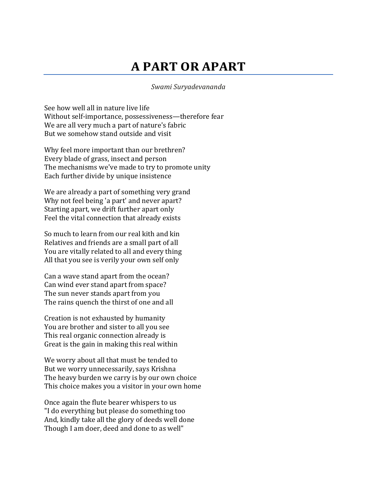## **A PART OR APART**

## *Swami Suryadevananda*

See how well all in nature live life Without self-importance, possessiveness—therefore fear We are all very much a part of nature's fabric But we somehow stand outside and visit

Why feel more important than our brethren? Every blade of grass, insect and person The mechanisms we've made to try to promote unity Each further divide by unique insistence

We are already a part of something very grand Why not feel being 'a part' and never apart? Starting apart, we drift further apart only Feel the vital connection that already exists

So much to learn from our real kith and kin Relatives and friends are a small part of all You are vitally related to all and every thing All that you see is verily your own self only

Can a wave stand apart from the ocean? Can wind ever stand apart from space? The sun never stands apart from you The rains quench the thirst of one and all

Creation is not exhausted by humanity You are brother and sister to all you see This real organic connection already is Great is the gain in making this real within

We worry about all that must be tended to But we worry unnecessarily, says Krishna The heavy burden we carry is by our own choice This choice makes you a visitor in your own home

Once again the flute bearer whispers to us "I do everything but please do something too And, kindly take all the glory of deeds well done Though I am doer, deed and done to as well"